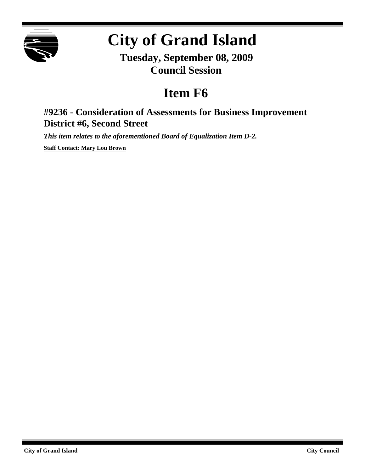

# **City of Grand Island**

**Tuesday, September 08, 2009 Council Session**

## **Item F6**

### **#9236 - Consideration of Assessments for Business Improvement District #6, Second Street**

*This item relates to the aforementioned Board of Equalization Item D-2.*

**Staff Contact: Mary Lou Brown**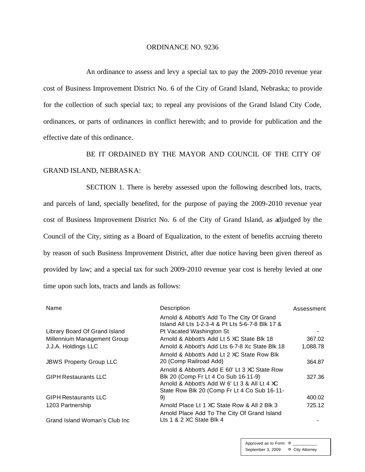#### ORDINANCE NO. 9236

An ordinance to assess and levy a special tax to pay the 2009-2010 revenue year cost of Business Improvement District No. 6 of the City of Grand Island, Nebraska; to provide for the collection of such special tax; to repeal any provisions of the Grand Island City Code, ordinances, or parts of ordinances in conflict herewith; and to provide for publication and the effective date of this ordinance.

BE IT ORDAINED BY THE MAYOR AND COUNCIL OF THE CITY OF GRAND ISLAND, NEBRASKA:

SECTION 1. There is hereby assessed upon the following described lots, tracts, and parcels of land, specially benefited, for the purpose of paying the 2009-2010 revenue year cost of Business Improvement District No. 6 of the City of Grand Island, as adjudged by the Council of the City, sitting as a Board of Equalization, to the extent of benefits accruing thereto by reason of such Business Improvement District, after due notice having been given thereof as provided by law; and a special tax for such 2009-2010 revenue year cost is hereby levied at one time upon such lots, tracts and lands as follows:

| Name                           | Description                                                                                    | Assessment |
|--------------------------------|------------------------------------------------------------------------------------------------|------------|
|                                | Arnold & Abbott's Add To The City Of Grand<br>Island All Lts 1-2-3-4 & Pt Lts 5-6-7-8 Blk 17 & |            |
| Library Board Of Grand Island  | Pt Vacated Washington St                                                                       |            |
| Millennium Management Group    | Arnold & Abbott's Add Lt 5 XC State Blk 18                                                     | 367.02     |
| J.J.A. Holdings LLC            | Arnold & Abbott's Add Lts 6-7-8 Xc State Blk 18                                                | 1,088.78   |
|                                | Arnold & Abbott's Add Lt 2 XC State Row Blk                                                    |            |
| <b>JBWS Property Group LLC</b> | 20 (Comp Railroad Add)                                                                         | 364.87     |
|                                | Arnold & Abbott's Add E 60' Lt 3 XC State Row                                                  |            |
| <b>GIPH Restaurants LLC</b>    | Blk 20 (Comp Fr Lt 4 Co Sub 16-11-9)                                                           | 327.36     |
|                                | Arnold & Abbott's Add W 6' Lt 3 & All Lt 4 XC                                                  |            |
|                                | State Row Blk 20 (Comp Fr Lt 4 Co Sub 16-11-                                                   |            |
| <b>GIPH Restaurants LLC</b>    | 9)                                                                                             | 400.02     |
| 1203 Partnership               | Arnold Place Lt 1 XC State Row & All 2 Blk 3                                                   | 725.12     |
|                                | Arnold Place Add To The City Of Grand Island                                                   |            |
| Grand Island Woman's Club Inc  | Lts 1 & 2 XC State Blk 4                                                                       |            |

Approved as to Form  $\pi$ September 3, 2009 ¤ City Attorney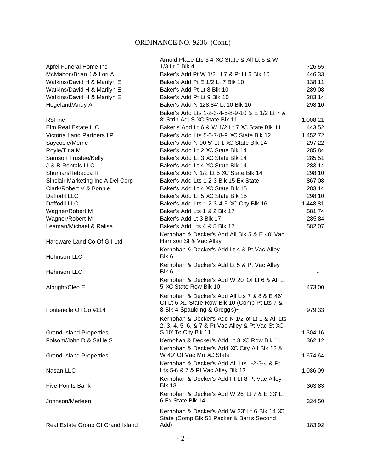|                                   | Arnold Place Lts 3-4 XC State & All Lt 5 & W         |          |
|-----------------------------------|------------------------------------------------------|----------|
| Apfel Funeral Home Inc            | 1/3 Lt 6 Blk 4                                       | 726.55   |
| McMahon/Brian J & Lori A          | Baker's Add Pt W 1/2 Lt 7 & Pt Lt 6 Blk 10           | 446.33   |
| Watkins/David H & Marilyn E       | Baker's Add Pt E 1/2 Lt 7 Blk 10                     | 138.11   |
| Watkins/David H & Marilyn E       | Baker's Add Pt Lt 8 Blk 10                           | 289.08   |
| Watkins/David H & Marilyn E       | Baker's Add Pt Lt 9 Blk 10                           | 283.14   |
| Hogeland/Andy A                   | Baker's Add N 128.84' Lt 10 Blk 10                   | 298.10   |
|                                   | Baker's Add Lts 1-2-3-4-5-8-9-10 & E 1/2 Lt 7 &      |          |
| RSI Inc                           | 8' Strip Adj S XC State Blk 11                       | 1,008.21 |
| Elm Real Estate L C               | Baker's Add Lt 6 & W 1/2 Lt 7 XC State Blk 11        | 443.52   |
| Victoria Land Partners LP         | Baker's Add Lts 5-6-7-8-9 XC State Blk 12            | 1,452.72 |
| Saycocie/Meme                     | Baker's Add N 90.5' Lt 1 XC State Blk 14             | 297.22   |
| Royle/Tina M                      | Baker's Add Lt 2 XC State Blk 14                     | 285.84   |
| Samson Trustee/Kelly              | Baker's Add Lt 3 XC State Blk 14                     | 285.51   |
| J & B Rentals LLC                 | Baker's Add Lt 4 XC State Blk 14                     | 283.14   |
| Shuman/Rebecca R                  | Baker's Add N 1/2 Lt 5 XC State Blk 14               | 298.10   |
| Sinclair Marketing Inc A Del Corp | Baker's Add Lts 1-2-3 Blk 15 Ex State                | 867.08   |
| Clark/Robert V & Bonnie           | Baker's Add Lt 4 XC State Blk 15                     | 283.14   |
| Daffodil LLC                      | Baker's Add Lt 5 XC State Blk 15                     | 298.10   |
| Daffodil LLC                      | Baker's Add Lts 1-2-3-4-5 XC City Blk 16             | 1,448.81 |
| Wagner/Robert M                   | Baker's Add Lts 1 & 2 Blk 17                         | 581.74   |
| Wagner/Robert M                   | Baker's Add Lt 3 Blk 17                              | 285.84   |
| Leaman/Michael & Ralisa           | Baker's Add Lts 4 & 5 Blk 17                         | 582.07   |
|                                   | Kernohan & Decker's Add All Blk 5 & E 40' Vac        |          |
| Hardware Land Co Of G I Ltd       | Harrison St & Vac Alley                              |          |
| Hehnson LLC                       | Kernohan & Decker's Add Lt 4 & Pt Vac Alley<br>Blk 6 |          |
|                                   | Kernohan & Decker's Add Lt 5 & Pt Vac Alley          |          |
| Hehnson LLC                       | Blk 6                                                |          |
|                                   | Kernohan & Decker's Add W 20' Of Lt 6 & All Lt       |          |
| Albright/Cleo E                   | 5 XC State Row Blk 10                                | 473.00   |
|                                   | Kernohan & Decker's Add All Lts 7 & 8 & E 46'        |          |
|                                   | Of Lt 6 XC State Row Blk 10 (Comp Pt Lts 7 &         |          |
| Fontenelle Oil Co #114            | 8 Blk 4 Spaulding & Gregg's)~                        | 979.33   |
|                                   | Kernohan & Decker's Add N 1/2 of Lt 1 & All Lts      |          |
|                                   | 2, 3, 4, 5, 6, & 7 & Pt Vac Alley & Pt Vac St XC     |          |
| <b>Grand Island Properties</b>    | S 10' To City Blk 11                                 | 1,304.16 |
| Folsom/John D & Sallie S          | Kernohan & Decker's Add Lt 8 XC Row Blk 11           | 362.12   |
|                                   | Kernohan & Decker's Add XC City All Blk 12 &         |          |
| <b>Grand Island Properties</b>    | W 40' Of Vac Mo XC State                             | 1,674.64 |
|                                   | Kernohan & Decker's Add All Lts 1-2-3-4 & Pt         |          |
| Nasan LLC                         | Lts 5-6 & 7 & Pt Vac Alley Blk 13                    | 1,086.09 |
|                                   | Kernohan & Decker's Add Pt Lt 8 Pt Vac Alley         |          |
| <b>Five Points Bank</b>           | <b>Blk 13</b>                                        | 363.83   |
|                                   | Kernohan & Decker's Add W 26' Lt 7 & E 33' Lt        |          |
| Johnson/Merleen                   | 6 Ex State Blk 14                                    | 324.50   |
|                                   | Kernohan & Decker's Add W 33' Lt 6 Blk 14 XC         |          |
|                                   | State (Comp Blk 51 Packer & Barr's Second            |          |
| Real Estate Group Of Grand Island | Add)                                                 | 183.92   |
|                                   |                                                      |          |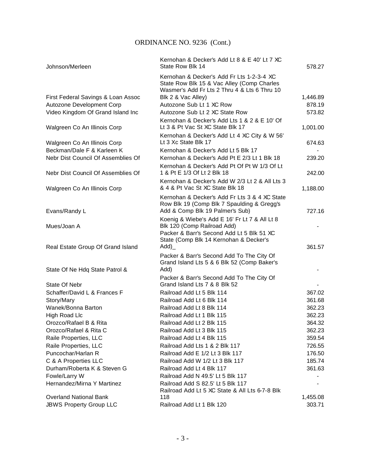| Johnson/Merleen                    | Kernohan & Decker's Add Lt 8 & E 40' Lt 7 XC<br>State Row Blk 14                                                                        | 578.27   |
|------------------------------------|-----------------------------------------------------------------------------------------------------------------------------------------|----------|
|                                    | Kernohan & Decker's Add Fr Lts 1-2-3-4 XC<br>State Row Blk 15 & Vac Alley (Comp Charles<br>Wasmer's Add Fr Lts 2 Thru 4 & Lts 6 Thru 10 |          |
| First Federal Savings & Loan Assoc | Blk 2 & Vac Alley)                                                                                                                      | 1,446.89 |
| Autozone Development Corp          | Autozone Sub Lt 1 XC Row                                                                                                                | 878.19   |
| Video Kingdom Of Grand Island Inc  | Autozone Sub Lt 2 XC State Row                                                                                                          | 573.82   |
| Walgreen Co An Illinois Corp       | Kernohan & Decker's Add Lts 1 & 2 & E 10' Of<br>Lt 3 & Pt Vac St XC State Blk 17                                                        | 1,001.00 |
| Walgreen Co An Illinois Corp       | Kernohan & Decker's Add Lt 4 XC City & W 56'<br>Lt 3 Xc State Blk 17                                                                    | 674.63   |
| Beckman/Dale F & Karleen K         | Kernohan & Decker's Add Lt 5 Blk 17                                                                                                     |          |
| Nebr Dist Council Of Assemblies Of | Kernohan & Decker's Add Pt E 2/3 Lt 1 Blk 18                                                                                            | 239.20   |
| Nebr Dist Council Of Assemblies Of | Kernohan & Decker's Add Pt Of Pt W 1/3 Of Lt<br>1 & Pt E 1/3 Of Lt 2 Blk 18                                                             | 242.00   |
| Walgreen Co An Illinois Corp       | Kernohan & Decker's Add W 2/3 Lt 2 & All Lts 3<br>& 4 & Pt Vac St XC State Blk 18                                                       | 1,188.00 |
| Evans/Randy L                      | Kernohan & Decker's Add Fr Lts 3 & 4 XC State<br>Row Blk 19 (Comp Blk 7 Spaulding & Gregg's<br>Add & Comp Blk 19 Palmer's Sub)          | 727.16   |
| Mues/Joan A                        | Koenig & Wiebe's Add E 16' Fr Lt 7 & All Lt 8<br>Blk 120 (Comp Railroad Add)                                                            |          |
| Real Estate Group Of Grand Island  | Packer & Barr's Second Add Lt 5 Blk 51 XC<br>State (Comp Blk 14 Kernohan & Decker's<br>Add)                                             | 361.57   |
| State Of Ne Hdq State Patrol &     | Packer & Barr's Second Add To The City Of<br>Grand Island Lts 5 & 6 Blk 52 (Comp Baker's<br>Add)                                        |          |
| State Of Nebr                      | Packer & Barr's Second Add To The City Of<br>Grand Island Lts 7 & 8 Blk 52                                                              |          |
| Schaffer/David L & Frances F       | Railroad Add Lt 5 Blk 114                                                                                                               | 367.02   |
| Story/Mary                         | Railroad Add Lt 6 Blk 114                                                                                                               | 361.68   |
| Wanek/Bonna Barton                 | Railroad Add Lt 8 Blk 114                                                                                                               | 362.23   |
| <b>High Road Llc</b>               | Railroad Add Lt 1 Blk 115                                                                                                               | 362.23   |
| Orozco/Rafael B & Rita             | Railroad Add I t 2 Blk 115                                                                                                              | 364.32   |
| Orozco/Rafael & Rita C             | Railroad Add Lt 3 Blk 115                                                                                                               | 362.23   |
| Raile Properties, LLC              | Railroad Add Lt 4 Blk 115                                                                                                               | 359.54   |
| Raile Properties, LLC              | Railroad Add Lts 1 & 2 Blk 117                                                                                                          | 726.55   |
| Puncochar/Harlan R                 | Railroad Add E 1/2 Lt 3 Blk 117                                                                                                         | 176.50   |
| C & A Properties LLC               | Railroad Add W 1/2 Lt 3 Blk 117                                                                                                         | 185.74   |
| Durham/Roberta K & Steven G        | Railroad Add Lt 4 Blk 117                                                                                                               | 361.63   |
| Fowle/Larry W                      | Railroad Add N 49.5' Lt 5 Blk 117                                                                                                       |          |
| Hernandez/Mirna Y Martinez         | Railroad Add S 82.5' Lt 5 Blk 117<br>Railroad Add Lt 5 XC State & All Lts 6-7-8 Blk                                                     |          |
| <b>Overland National Bank</b>      | 118                                                                                                                                     | 1,455.08 |
| <b>JBWS Property Group LLC</b>     | Railroad Add Lt 1 Blk 120                                                                                                               | 303.71   |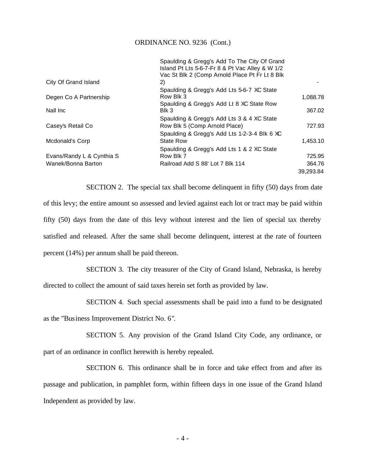|                           | Spaulding & Gregg's Add To The City Of Grand    |           |
|---------------------------|-------------------------------------------------|-----------|
|                           | Island Pt Lts 5-6-7-Fr 8 & Pt Vac Alley & W 1/2 |           |
|                           | Vac St Blk 2 (Comp Arnold Place Pt Fr Lt 8 Blk  |           |
| City Of Grand Island      | 2)                                              |           |
|                           | Spaulding & Gregg's Add Lts 5-6-7 XC State      |           |
| Degen Co A Partnership    | Row Blk 3                                       | 1,088.78  |
|                           | Spaulding & Gregg's Add Lt 8 XC State Row       |           |
| Nall Inc                  | Blk 3                                           | 367.02    |
|                           | Spaulding & Gregg's Add Lts 3 & 4 XC State      |           |
| Casey's Retail Co         | Row Blk 5 (Comp Arnold Place)                   | 727.93    |
|                           | Spaulding & Gregg's Add Lts 1-2-3-4 Blk 6 XC    |           |
| Mcdonald's Corp           | <b>State Row</b>                                | 1,453.10  |
|                           | Spaulding & Gregg's Add Lts 1 & 2 XC State      |           |
| Evans/Randy L & Cynthia S | Row Blk 7                                       | 725.95    |
| Wanek/Bonna Barton        | Railroad Add S 88' Lot 7 Blk 114                | 364.76    |
|                           |                                                 | 39.293.84 |
|                           |                                                 |           |

SECTION 2. The special tax shall become delinquent in fifty (50) days from date of this levy; the entire amount so assessed and levied against each lot or tract may be paid within fifty (50) days from the date of this levy without interest and the lien of special tax thereby satisfied and released. After the same shall become delinquent, interest at the rate of fourteen percent (14%) per annum shall be paid thereon.

SECTION 3. The city treasurer of the City of Grand Island, Nebraska, is hereby directed to collect the amount of said taxes herein set forth as provided by law.

SECTION 4. Such special assessments shall be paid into a fund to be designated

as the "Business Improvement District No. 6".

SECTION 5. Any provision of the Grand Island City Code, any ordinance, or part of an ordinance in conflict herewith is hereby repealed.

SECTION 6. This ordinance shall be in force and take effect from and after its passage and publication, in pamphlet form, within fifteen days in one issue of the Grand Island Independent as provided by law.